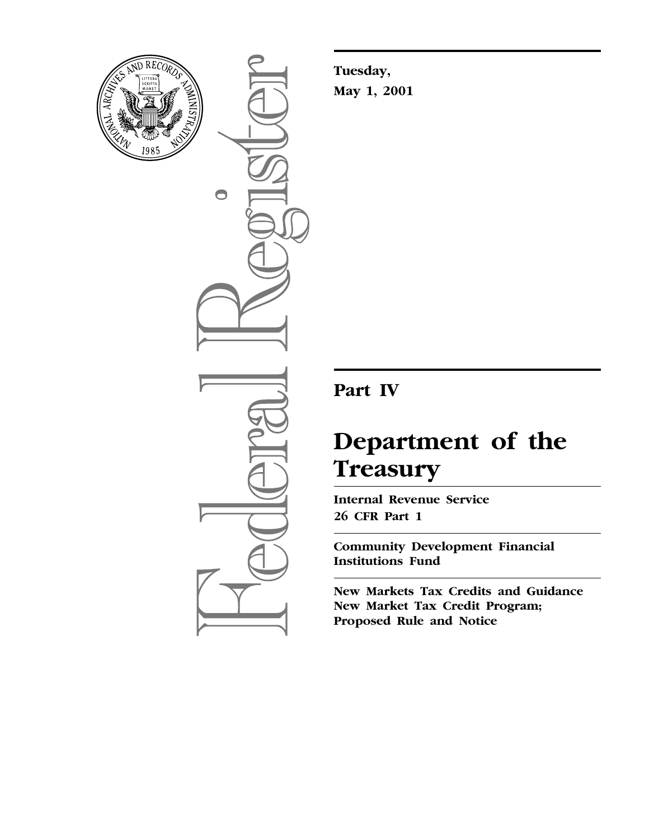

 $\bigcirc$ 

**Tuesday, May 1, 2001**

## **Part IV**

# **Department of the Treasury**

**Internal Revenue Service 26 CFR Part 1**

**Community Development Financial Institutions Fund**

**New Markets Tax Credits and Guidance New Market Tax Credit Program; Proposed Rule and Notice**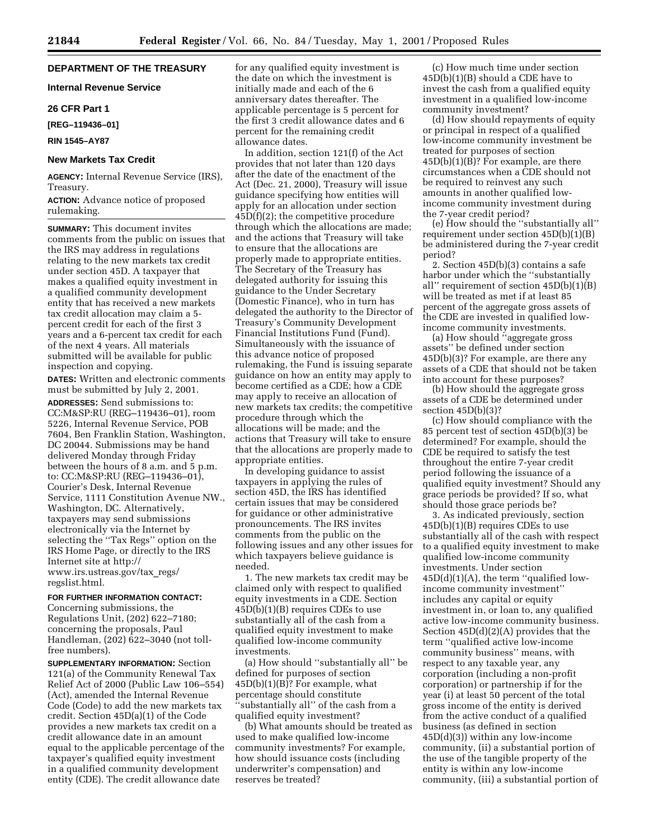### **DEPARTMENT OF THE TREASURY**

**Internal Revenue Service**

#### **26 CFR Part 1**

**[REG–119436–01]**

**RIN 1545–AY87**

#### **New Markets Tax Credit**

**AGENCY:** Internal Revenue Service (IRS), Treasury.

**ACTION:** Advance notice of proposed rulemaking.

**SUMMARY:** This document invites comments from the public on issues that the IRS may address in regulations relating to the new markets tax credit under section 45D. A taxpayer that makes a qualified equity investment in a qualified community development entity that has received a new markets tax credit allocation may claim a 5 percent credit for each of the first 3 years and a 6-percent tax credit for each of the next 4 years. All materials submitted will be available for public inspection and copying.

**DATES:** Written and electronic comments must be submitted by July 2, 2001.

**ADDRESSES:** Send submissions to: CC:M&SP:RU (REG–119436–01), room 5226, Internal Revenue Service, POB 7604, Ben Franklin Station, Washington, DC 20044. Submissions may be hand delivered Monday through Friday between the hours of 8 a.m. and 5 p.m. to: CC:M&SP:RU (REG–119436–01), Courier's Desk, Internal Revenue Service, 1111 Constitution Avenue NW., Washington, DC. Alternatively, taxpayers may send submissions electronically via the Internet by selecting the ''Tax Regs'' option on the IRS Home Page, or directly to the IRS Internet site at http:// www.irs.ustreas.gov/tax\_regs/ regslist.html.

#### **FOR FURTHER INFORMATION CONTACT:**

Concerning submissions, the Regulations Unit, (202) 622–7180; concerning the proposals, Paul Handleman, (202) 622–3040 (not tollfree numbers).

**SUPPLEMENTARY INFORMATION:** Section 121(a) of the Community Renewal Tax Relief Act of 2000 (Public Law 106–554) (Act), amended the Internal Revenue Code (Code) to add the new markets tax credit. Section 45D(a)(1) of the Code provides a new markets tax credit on a credit allowance date in an amount equal to the applicable percentage of the taxpayer's qualified equity investment in a qualified community development entity (CDE). The credit allowance date

for any qualified equity investment is the date on which the investment is initially made and each of the 6 anniversary dates thereafter. The applicable percentage is 5 percent for the first 3 credit allowance dates and 6 percent for the remaining credit allowance dates.

In addition, section 121(f) of the Act provides that not later than 120 days after the date of the enactment of the Act (Dec. 21, 2000), Treasury will issue guidance specifying how entities will apply for an allocation under section 45D(f)(2); the competitive procedure through which the allocations are made; and the actions that Treasury will take to ensure that the allocations are properly made to appropriate entities. The Secretary of the Treasury has delegated authority for issuing this guidance to the Under Secretary (Domestic Finance), who in turn has delegated the authority to the Director of Treasury's Community Development Financial Institutions Fund (Fund). Simultaneously with the issuance of this advance notice of proposed rulemaking, the Fund is issuing separate guidance on how an entity may apply to become certified as a CDE; how a CDE may apply to receive an allocation of new markets tax credits; the competitive procedure through which the allocations will be made; and the actions that Treasury will take to ensure that the allocations are properly made to appropriate entities.

In developing guidance to assist taxpayers in applying the rules of section 45D, the IRS has identified certain issues that may be considered for guidance or other administrative pronouncements. The IRS invites comments from the public on the following issues and any other issues for which taxpayers believe guidance is needed.

1. The new markets tax credit may be claimed only with respect to qualified equity investments in a CDE. Section 45D(b)(1)(B) requires CDEs to use substantially all of the cash from a qualified equity investment to make qualified low-income community investments.

(a) How should ''substantially all'' be defined for purposes of section 45D(b)(1)(B)? For example, what percentage should constitute 'substantially all" of the cash from a qualified equity investment?

(b) What amounts should be treated as used to make qualified low-income community investments? For example, how should issuance costs (including underwriter's compensation) and reserves be treated?

(c) How much time under section 45D(b)(1)(B) should a CDE have to invest the cash from a qualified equity investment in a qualified low-income community investment?

(d) How should repayments of equity or principal in respect of a qualified low-income community investment be treated for purposes of section 45D(b)(1)(B)? For example, are there circumstances when a CDE should not be required to reinvest any such amounts in another qualified lowincome community investment during the 7-year credit period?

(e) How should the ''substantially all'' requirement under section 45D(b)(1)(B) be administered during the 7-year credit period?

2. Section 45D(b)(3) contains a safe harbor under which the ''substantially all'' requirement of section 45D(b)(1)(B) will be treated as met if at least 85 percent of the aggregate gross assets of the CDE are invested in qualified lowincome community investments.

(a) How should ''aggregate gross assets'' be defined under section 45D(b)(3)? For example, are there any assets of a CDE that should not be taken into account for these purposes?

(b) How should the aggregate gross assets of a CDE be determined under section 45D(b)(3)?

(c) How should compliance with the 85 percent test of section 45D(b)(3) be determined? For example, should the CDE be required to satisfy the test throughout the entire 7-year credit period following the issuance of a qualified equity investment? Should any grace periods be provided? If so, what should those grace periods be?

3. As indicated previously, section 45D(b)(1)(B) requires CDEs to use substantially all of the cash with respect to a qualified equity investment to make qualified low-income community investments. Under section  $45D(d)(1)(A)$ , the term "qualified lowincome community investment'' includes any capital or equity investment in, or loan to, any qualified active low-income community business. Section 45D(d)(2)(A) provides that the term ''qualified active low-income community business'' means, with respect to any taxable year, any corporation (including a non-profit corporation) or partnership if for the year (i) at least 50 percent of the total gross income of the entity is derived from the active conduct of a qualified business (as defined in section 45D(d)(3)) within any low-income community, (ii) a substantial portion of the use of the tangible property of the entity is within any low-income community, (iii) a substantial portion of